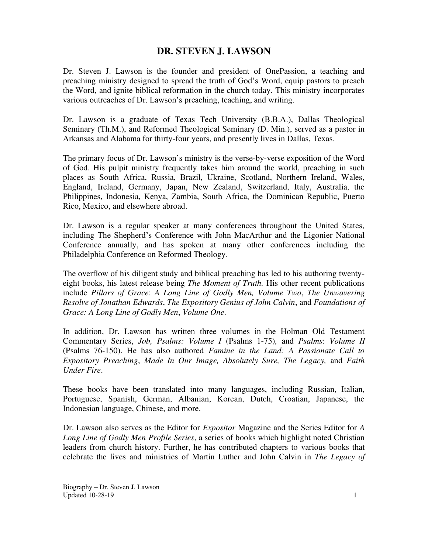# **DR. STEVEN J. LAWSON**

Dr. Steven J. Lawson is the founder and president of OnePassion, a teaching and preaching ministry designed to spread the truth of God's Word, equip pastors to preach the Word, and ignite biblical reformation in the church today. This ministry incorporates various outreaches of Dr. Lawson's preaching, teaching, and writing.

Dr. Lawson is a graduate of Texas Tech University (B.B.A.), Dallas Theological Seminary (Th.M.), and Reformed Theological Seminary (D. Min.), served as a pastor in Arkansas and Alabama for thirty-four years, and presently lives in Dallas, Texas.

The primary focus of Dr. Lawson's ministry is the verse-by-verse exposition of the Word of God. His pulpit ministry frequently takes him around the world, preaching in such places as South Africa, Russia, Brazil, Ukraine, Scotland, Northern Ireland, Wales, England, Ireland, Germany, Japan, New Zealand, Switzerland, Italy, Australia, the Philippines, Indonesia, Kenya, Zambia, South Africa, the Dominican Republic, Puerto Rico, Mexico, and elsewhere abroad.

Dr. Lawson is a regular speaker at many conferences throughout the United States, including The Shepherd's Conference with John MacArthur and the Ligonier National Conference annually, and has spoken at many other conferences including the Philadelphia Conference on Reformed Theology.

The overflow of his diligent study and biblical preaching has led to his authoring twentyeight books, his latest release being *The Moment of Truth.* His other recent publications include *Pillars of Grace*: *A Long Line of Godly Men, Volume Two*, *The Unwavering Resolve of Jonathan Edwards*, *The Expository Genius of John Calvin*, and *Foundations of Grace: A Long Line of Godly Men*, *Volume One*.

In addition, Dr. Lawson has written three volumes in the Holman Old Testament Commentary Series, *Job, Psalms: Volume I* (Psalms 1-75)*,* and *Psalms*: *Volume II* (Psalms 76-150). He has also authored *Famine in the Land: A Passionate Call to Expository Preaching*, *Made In Our Image, Absolutely Sure, The Legacy,* and *Faith Under Fire*.

These books have been translated into many languages, including Russian, Italian, Portuguese, Spanish, German, Albanian, Korean, Dutch, Croatian, Japanese, the Indonesian language, Chinese, and more.

Dr. Lawson also serves as the Editor for *Expositor* Magazine and the Series Editor for *A Long Line of Godly Men Profile Series*, a series of books which highlight noted Christian leaders from church history. Further, he has contributed chapters to various books that celebrate the lives and ministries of Martin Luther and John Calvin in *The Legacy of*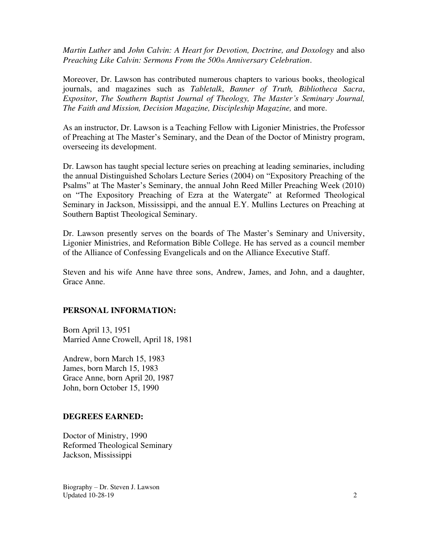*Martin Luther* and *John Calvin: A Heart for Devotion, Doctrine, and Doxology* and also *Preaching Like Calvin: Sermons From the 500th Anniversary Celebration*.

Moreover, Dr. Lawson has contributed numerous chapters to various books, theological journals, and magazines such as *Tabletalk*, *Banner of Truth, Bibliotheca Sacra*, *Expositor*, *The Southern Baptist Journal of Theology, The Master's Seminary Journal, The Faith and Mission, Decision Magazine, Discipleship Magazine,* and more.

As an instructor, Dr. Lawson is a Teaching Fellow with Ligonier Ministries, the Professor of Preaching at The Master's Seminary, and the Dean of the Doctor of Ministry program, overseeing its development.

Dr. Lawson has taught special lecture series on preaching at leading seminaries, including the annual Distinguished Scholars Lecture Series (2004) on "Expository Preaching of the Psalms" at The Master's Seminary, the annual John Reed Miller Preaching Week (2010) on "The Expository Preaching of Ezra at the Watergate" at Reformed Theological Seminary in Jackson, Mississippi, and the annual E.Y. Mullins Lectures on Preaching at Southern Baptist Theological Seminary.

Dr. Lawson presently serves on the boards of The Master's Seminary and University, Ligonier Ministries, and Reformation Bible College. He has served as a council member of the Alliance of Confessing Evangelicals and on the Alliance Executive Staff.

Steven and his wife Anne have three sons, Andrew, James, and John, and a daughter, Grace Anne.

### **PERSONAL INFORMATION:**

Born April 13, 1951 Married Anne Crowell, April 18, 1981

Andrew, born March 15, 1983 James, born March 15, 1983 Grace Anne, born April 20, 1987 John, born October 15, 1990

### **DEGREES EARNED:**

Doctor of Ministry, 1990 Reformed Theological Seminary Jackson, Mississippi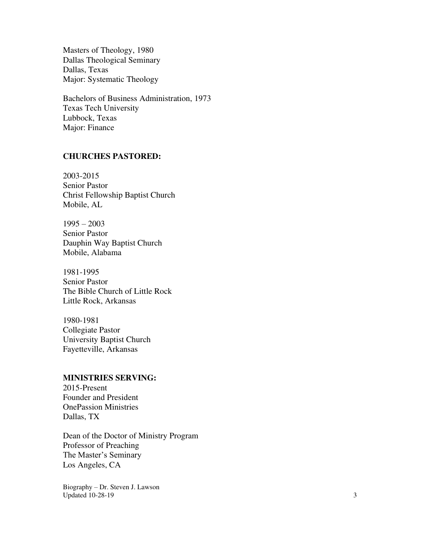Masters of Theology, 1980 Dallas Theological Seminary Dallas, Texas Major: Systematic Theology

Bachelors of Business Administration, 1973 Texas Tech University Lubbock, Texas Major: Finance

### **CHURCHES PASTORED:**

2003-2015 Senior Pastor Christ Fellowship Baptist Church Mobile, AL

 $1995 - 2003$ Senior Pastor Dauphin Way Baptist Church Mobile, Alabama

1981-1995 Senior Pastor The Bible Church of Little Rock Little Rock, Arkansas

1980-1981 Collegiate Pastor University Baptist Church Fayetteville, Arkansas

### **MINISTRIES SERVING:**

2015-Present Founder and President OnePassion Ministries Dallas, TX

Dean of the Doctor of Ministry Program Professor of Preaching The Master's Seminary Los Angeles, CA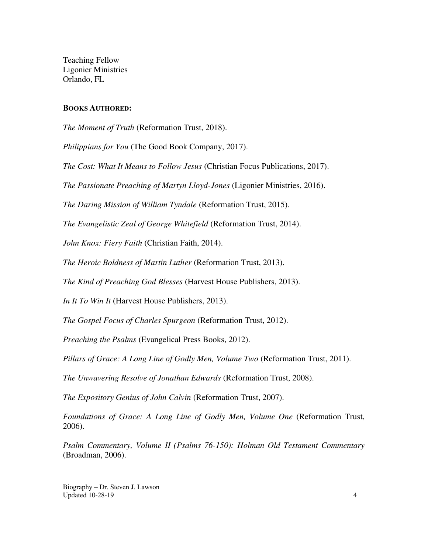Teaching Fellow Ligonier Ministries Orlando, FL

#### **BOOKS AUTHORED:**

*The Moment of Truth* (Reformation Trust, 2018).

*Philippians for You* (The Good Book Company, 2017).

*The Cost: What It Means to Follow Jesus* (Christian Focus Publications, 2017).

*The Passionate Preaching of Martyn Lloyd-Jones* (Ligonier Ministries, 2016).

*The Daring Mission of William Tyndale* (Reformation Trust, 2015).

*The Evangelistic Zeal of George Whitefield* (Reformation Trust, 2014).

*John Knox: Fiery Faith* (Christian Faith, 2014).

*The Heroic Boldness of Martin Luther* (Reformation Trust, 2013).

*The Kind of Preaching God Blesses* (Harvest House Publishers, 2013).

*In It To Win It* (Harvest House Publishers, 2013).

*The Gospel Focus of Charles Spurgeon* (Reformation Trust, 2012).

*Preaching the Psalms* (Evangelical Press Books, 2012).

*Pillars of Grace: A Long Line of Godly Men, Volume Two* (Reformation Trust, 2011).

*The Unwavering Resolve of Jonathan Edwards* (Reformation Trust, 2008).

*The Expository Genius of John Calvin* (Reformation Trust, 2007).

*Foundations of Grace: A Long Line of Godly Men, Volume One* (Reformation Trust, 2006).

*Psalm Commentary, Volume II (Psalms 76-150): Holman Old Testament Commentary* (Broadman, 2006).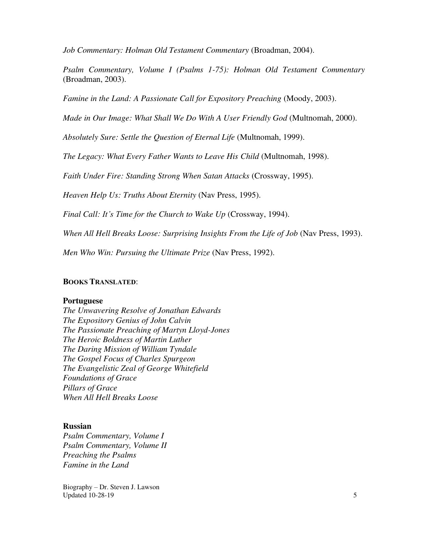*Job Commentary: Holman Old Testament Commentary* (Broadman, 2004).

*Psalm Commentary, Volume I (Psalms 1-75): Holman Old Testament Commentary* (Broadman, 2003).

*Famine in the Land: A Passionate Call for Expository Preaching* (Moody, 2003).

*Made in Our Image: What Shall We Do With A User Friendly God* (Multnomah, 2000).

*Absolutely Sure: Settle the Question of Eternal Life* (Multnomah, 1999).

*The Legacy: What Every Father Wants to Leave His Child* (Multnomah, 1998).

*Faith Under Fire: Standing Strong When Satan Attacks* (Crossway, 1995).

*Heaven Help Us: Truths About Eternity* (Nav Press, 1995).

*Final Call: It's Time for the Church to Wake Up* (Crossway, 1994).

*When All Hell Breaks Loose: Surprising Insights From the Life of Job* (Nav Press, 1993).

*Men Who Win: Pursuing the Ultimate Prize* (Nav Press, 1992).

### **BOOKS TRANSLATED**:

#### **Portuguese**

*The Unwavering Resolve of Jonathan Edwards The Expository Genius of John Calvin The Passionate Preaching of Martyn Lloyd-Jones The Heroic Boldness of Martin Luther The Daring Mission of William Tyndale The Gospel Focus of Charles Spurgeon The Evangelistic Zeal of George Whitefield Foundations of Grace Pillars of Grace When All Hell Breaks Loose* 

### **Russian**

*Psalm Commentary, Volume I Psalm Commentary, Volume II Preaching the Psalms Famine in the Land*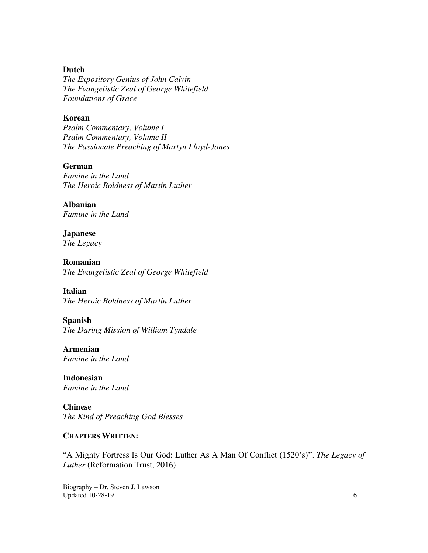# **Dutch**

*The Expository Genius of John Calvin The Evangelistic Zeal of George Whitefield Foundations of Grace* 

### **Korean**

*Psalm Commentary, Volume I Psalm Commentary, Volume II The Passionate Preaching of Martyn Lloyd-Jones* 

### **German**

*Famine in the Land The Heroic Boldness of Martin Luther*

**Albanian**  *Famine in the Land*

**Japanese**  *The Legacy*

**Romanian**  *The Evangelistic Zeal of George Whitefield* 

**Italian**  *The Heroic Boldness of Martin Luther*

### **Spanish**

*The Daring Mission of William Tyndale* 

**Armenian**  *Famine in the Land* 

**Indonesian**  *Famine in the Land*

**Chinese**  *The Kind of Preaching God Blesses*

### **CHAPTERS WRITTEN:**

"A Mighty Fortress Is Our God: Luther As A Man Of Conflict (1520's)", *The Legacy of Luther* (Reformation Trust, 2016).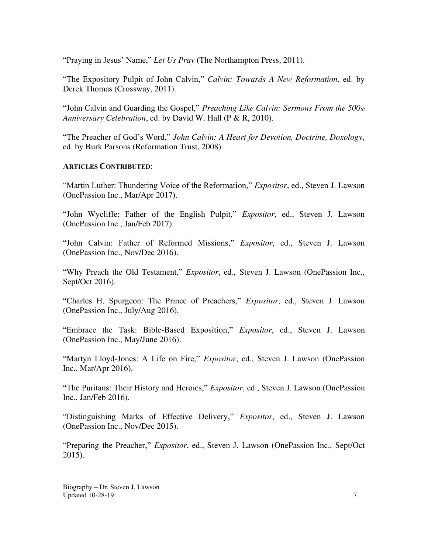"Praying in Jesus' Name," *Let Us Pray* (The Northampton Press, 2011).

"The Expository Pulpit of John Calvin," *Calvin: Towards A New Reformation*, ed. by Derek Thomas (Crossway, 2011).

"John Calvin and Guarding the Gospel," *Preaching Like Calvin: Sermons From the 500th Anniversary Celebration*, ed. by David W. Hall (P & R, 2010).

"The Preacher of God's Word," *John Calvin: A Heart for Devotion, Doctrine, Doxology*, ed. by Burk Parsons (Reformation Trust, 2008).

# **ARTICLES CONTRIBUTED**:

"Martin Luther: Thundering Voice of the Reformation," *Expositor*, ed., Steven J. Lawson (OnePassion Inc., Mar/Apr 2017).

"John Wycliffe: Father of the English Pulpit," *Expositor*, ed., Steven J. Lawson (OnePassion Inc., Jan/Feb 2017).

"John Calvin: Father of Reformed Missions," *Expositor*, ed., Steven J. Lawson (OnePassion Inc., Nov/Dec 2016).

"Why Preach the Old Testament," *Expositor*, ed., Steven J. Lawson (OnePassion Inc., Sept/Oct 2016).

"Charles H. Spurgeon: The Prince of Preachers," *Expositor*, ed., Steven J. Lawson (OnePassion Inc., July/Aug 2016).

"Embrace the Task: Bible-Based Exposition," *Expositor*, ed., Steven J. Lawson (OnePassion Inc., May/June 2016).

"Martyn Lloyd-Jones: A Life on Fire," *Expositor*, ed., Steven J. Lawson (OnePassion Inc., Mar/Apr 2016).

"The Puritans: Their History and Heroics," *Expositor*, ed., Steven J. Lawson (OnePassion Inc., Jan/Feb 2016).

"Distinguishing Marks of Effective Delivery," *Expositor*, ed., Steven J. Lawson (OnePassion Inc., Nov/Dec 2015).

"Preparing the Preacher," *Expositor*, ed., Steven J. Lawson (OnePassion Inc., Sept/Oct 2015).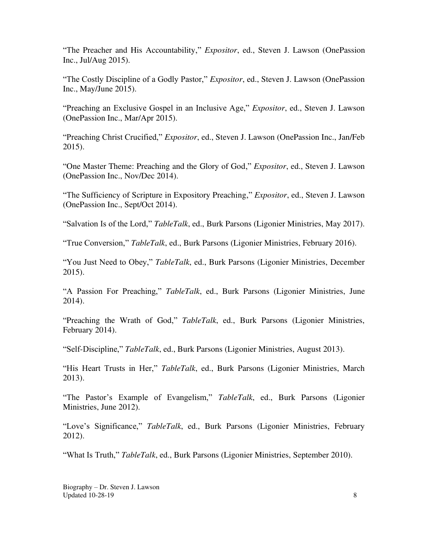"The Preacher and His Accountability," *Expositor*, ed., Steven J. Lawson (OnePassion Inc., Jul/Aug 2015).

"The Costly Discipline of a Godly Pastor," *Expositor*, ed., Steven J. Lawson (OnePassion Inc., May/June 2015).

"Preaching an Exclusive Gospel in an Inclusive Age," *Expositor*, ed., Steven J. Lawson (OnePassion Inc., Mar/Apr 2015).

"Preaching Christ Crucified," *Expositor*, ed., Steven J. Lawson (OnePassion Inc., Jan/Feb 2015).

"One Master Theme: Preaching and the Glory of God," *Expositor*, ed., Steven J. Lawson (OnePassion Inc., Nov/Dec 2014).

"The Sufficiency of Scripture in Expository Preaching," *Expositor*, ed., Steven J. Lawson (OnePassion Inc., Sept/Oct 2014).

"Salvation Is of the Lord," *TableTalk*, ed., Burk Parsons (Ligonier Ministries, May 2017).

"True Conversion," *TableTalk*, ed., Burk Parsons (Ligonier Ministries, February 2016).

"You Just Need to Obey," *TableTalk*, ed., Burk Parsons (Ligonier Ministries, December 2015).

"A Passion For Preaching," *TableTalk*, ed., Burk Parsons (Ligonier Ministries, June 2014).

"Preaching the Wrath of God," *TableTalk*, ed., Burk Parsons (Ligonier Ministries, February 2014).

"Self-Discipline," *TableTalk*, ed., Burk Parsons (Ligonier Ministries, August 2013).

"His Heart Trusts in Her," *TableTalk*, ed., Burk Parsons (Ligonier Ministries, March 2013).

"The Pastor's Example of Evangelism," *TableTalk*, ed., Burk Parsons (Ligonier Ministries, June 2012).

"Love's Significance," *TableTalk*, ed., Burk Parsons (Ligonier Ministries, February 2012).

"What Is Truth," *TableTalk*, ed., Burk Parsons (Ligonier Ministries, September 2010).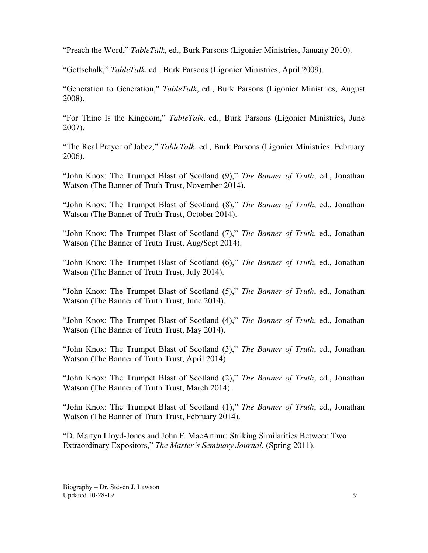"Preach the Word," *TableTalk*, ed., Burk Parsons (Ligonier Ministries, January 2010).

"Gottschalk," *TableTalk*, ed., Burk Parsons (Ligonier Ministries, April 2009).

"Generation to Generation," *TableTalk*, ed., Burk Parsons (Ligonier Ministries, August 2008).

"For Thine Is the Kingdom," *TableTalk*, ed., Burk Parsons (Ligonier Ministries, June 2007).

"The Real Prayer of Jabez," *TableTalk*, ed., Burk Parsons (Ligonier Ministries, February 2006).

"John Knox: The Trumpet Blast of Scotland (9)," *The Banner of Truth*, ed., Jonathan Watson (The Banner of Truth Trust, November 2014).

"John Knox: The Trumpet Blast of Scotland (8)," *The Banner of Truth*, ed., Jonathan Watson (The Banner of Truth Trust, October 2014).

"John Knox: The Trumpet Blast of Scotland (7)," *The Banner of Truth*, ed., Jonathan Watson (The Banner of Truth Trust, Aug/Sept 2014).

"John Knox: The Trumpet Blast of Scotland (6)," *The Banner of Truth*, ed., Jonathan Watson (The Banner of Truth Trust, July 2014).

"John Knox: The Trumpet Blast of Scotland (5)," *The Banner of Truth*, ed., Jonathan Watson (The Banner of Truth Trust, June 2014).

"John Knox: The Trumpet Blast of Scotland (4)," *The Banner of Truth*, ed., Jonathan Watson (The Banner of Truth Trust, May 2014).

"John Knox: The Trumpet Blast of Scotland (3)," *The Banner of Truth*, ed., Jonathan Watson (The Banner of Truth Trust, April 2014).

"John Knox: The Trumpet Blast of Scotland (2)," *The Banner of Truth*, ed., Jonathan Watson (The Banner of Truth Trust, March 2014).

"John Knox: The Trumpet Blast of Scotland (1)," *The Banner of Truth*, ed., Jonathan Watson (The Banner of Truth Trust, February 2014).

"D. Martyn Lloyd-Jones and John F. MacArthur: Striking Similarities Between Two Extraordinary Expositors," *The Master's Seminary Journal*, (Spring 2011).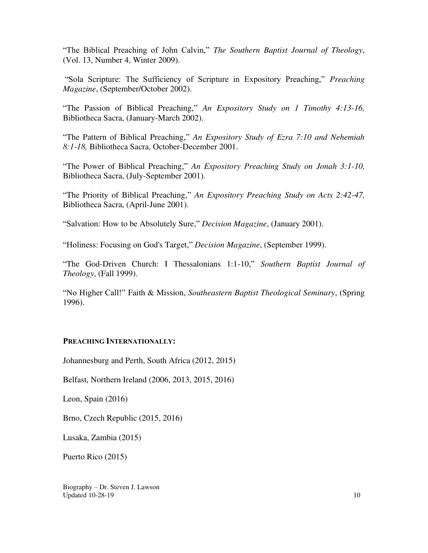"The Biblical Preaching of John Calvin," *The Southern Baptist Journal of Theology*, (Vol. 13, Number 4, Winter 2009).

"Sola Scripture: The Sufficiency of Scripture in Expository Preaching," *Preaching Magazine*, (September/October 2002).

"The Passion of Biblical Preaching," *An Expository Study on 1 Timothy 4:13-16,*  Bibliotheca Sacra, (January-March 2002).

"The Pattern of Biblical Preaching," *An Expository Study of Ezra 7:10 and Nehemiah 8:1-18,* Bibliotheca Sacra, October-December 2001.

"The Power of Biblical Preaching," *An Expository Preaching Study on Jonah 3:1-10,*  Bibliotheca Sacra, (July-September 2001).

"The Priority of Biblical Preaching," *An Expository Preaching Study on Acts 2:42-47,*  Bibliotheca Sacra, (April-June 2001).

"Salvation: How to be Absolutely Sure," *Decision Magazine*, (January 2001).

"Holiness: Focusing on God's Target," *Decision Magazine*, (September 1999).

"The God-Driven Church: I Thessalonians 1:1-10," *Southern Baptist Journal of Theology*, (Fall 1999).

"No Higher Call!" Faith & Mission, *Southeastern Baptist Theological Seminary*, (Spring 1996).

### **PREACHING INTERNATIONALLY:**

Johannesburg and Perth, South Africa (2012, 2015)

Belfast, Northern Ireland (2006, 2013, 2015, 2016)

Leon, Spain (2016)

Brno, Czech Republic (2015, 2016)

Lusaka, Zambia (2015)

Puerto Rico (2015)